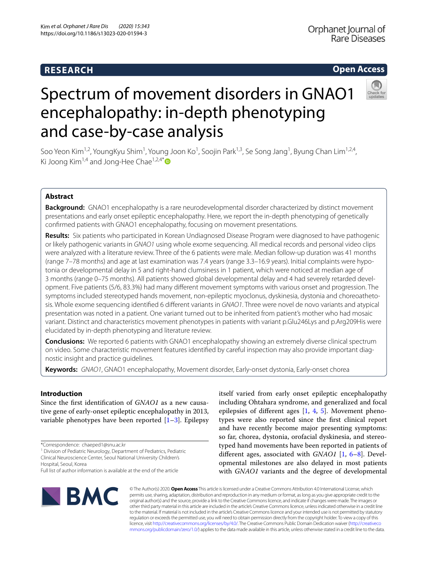# **RESEARCH**

# **Open Access**



# Spectrum of movement disorders in GNAO1 encephalopathy: in-depth phenotyping and case-by-case analysis

Soo Yeon Kim<sup>1,2</sup>, YoungKyu Shim<sup>1</sup>, Young Joon Ko<sup>1</sup>, Soojin Park<sup>1,3</sup>, Se Song Jang<sup>1</sup>, Byung Chan Lim<sup>1,2,4</sup>, Ki Joong Kim<sup>1,4</sup> and Jong-Hee Chae<sup>1,2,4[\\*](http://orcid.org/0000-0002-9162-0138)</sup>

# **Abstract**

**Background:** GNAO1 encephalopathy is a rare neurodevelopmental disorder characterized by distinct movement presentations and early onset epileptic encephalopathy. Here, we report the in-depth phenotyping of genetically confrmed patients with GNAO1 encephalopathy, focusing on movement presentations.

**Results:** Six patients who participated in Korean Undiagnosed Disease Program were diagnosed to have pathogenic or likely pathogenic variants in *GNAO1* using whole exome sequencing. All medical records and personal video clips were analyzed with a literature review. Three of the 6 patients were male. Median follow-up duration was 41 months (range 7–78 months) and age at last examination was 7.4 years (range 3.3–16.9 years). Initial complaints were hypo‑ tonia or developmental delay in 5 and right-hand clumsiness in 1 patient, which were noticed at median age of 3 months (range 0–75 months). All patients showed global developmental delay and 4 had severely retarded development. Five patients (5/6, 83.3%) had many diferent movement symptoms with various onset and progression. The symptoms included stereotyped hands movement, non-epileptic myoclonus, dyskinesia, dystonia and choreoathetosis. Whole exome sequencing identifed 6 diferent variants in *GNAO1*. Three were novel de novo variants and atypical presentation was noted in a patient. One variant turned out to be inherited from patient's mother who had mosaic variant. Distinct and characteristics movement phenotypes in patients with variant p.Glu246Lys and p.Arg209His were elucidated by in-depth phenotyping and literature review.

**Conclusions:** We reported 6 patients with GNAO1 encephalopathy showing an extremely diverse clinical spectrum on video. Some characteristic movement features identified by careful inspection may also provide important diagnostic insight and practice guidelines.

**Keywords:** *GNAO1*, GNAO1 encephalopathy, Movement disorder, Early-onset dystonia, Early-onset chorea

# **Introduction**

Since the frst identifcation of *GNAO1* as a new causative gene of early-onset epileptic encephalopathy in 2013, variable phenotypes have been reported  $[1-3]$  $[1-3]$  $[1-3]$ . Epilepsy

\*Correspondence: chaeped1@snu.ac.kr

<sup>1</sup> Division of Pediatric Neurology, Department of Pediatrics, Pediatric Clinical Neuroscience Center, Seoul National University Children's Hospital, Seoul, Korea

itself varied from early onset epileptic encephalopathy including Ohtahara syndrome, and generalized and focal epilepsies of different ages  $[1, 4, 5]$  $[1, 4, 5]$  $[1, 4, 5]$  $[1, 4, 5]$  $[1, 4, 5]$  $[1, 4, 5]$  $[1, 4, 5]$ . Movement phenotypes were also reported since the frst clinical report and have recently become major presenting symptoms: so far, chorea, dystonia, orofacial dyskinesia, and stereotyped hand movements have been reported in patients of diferent ages, associated with *GNAO1* [\[1](#page-5-0), [6](#page-5-4)[–8](#page-5-5)]. Developmental milestones are also delayed in most patients with *GNAO1* variants and the degree of developmental



© The Author(s) 2020. **Open Access** This article is licensed under a Creative Commons Attribution 4.0 International License, which permits use, sharing, adaptation, distribution and reproduction in any medium or format, as long as you give appropriate credit to the original author(s) and the source, provide a link to the Creative Commons licence, and indicate if changes were made. The images or other third party material in this article are included in the article's Creative Commons licence, unless indicated otherwise in a credit line to the material. If material is not included in the article's Creative Commons licence and your intended use is not permitted by statutory regulation or exceeds the permitted use, you will need to obtain permission directly from the copyright holder. To view a copy of this licence, visit [http://creativecommons.org/licenses/by/4.0/.](http://creativecommons.org/licenses/by/4.0/) The Creative Commons Public Domain Dedication waiver ([http://creativeco](http://creativecommons.org/publicdomain/zero/1.0/) [mmons.org/publicdomain/zero/1.0/](http://creativecommons.org/publicdomain/zero/1.0/)) applies to the data made available in this article, unless otherwise stated in a credit line to the data.

Full list of author information is available at the end of the article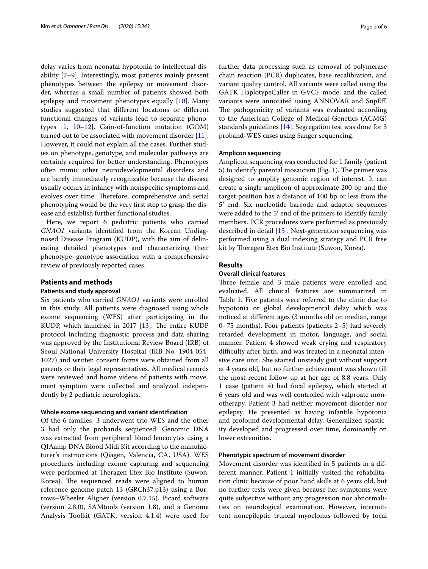delay varies from neonatal hypotonia to intellectual disability [\[7](#page-5-6)[–9](#page-5-7)]. Interestingly, most patients mainly present phenotypes between the epilepsy or movement disorder, whereas a small number of patients showed both epilepsy and movement phenotypes equally [[10\]](#page-5-8). Many studies suggested that diferent locations or diferent functional changes of variants lead to separate phenotypes [[1,](#page-5-0) [10](#page-5-8)[–12](#page-5-9)]. Gain-of-function mutation (GOM) turned out to be associated with movement disorder [\[11](#page-5-10)]. However, it could not explain all the cases. Further studies on phenotype, genotype, and molecular pathways are certainly required for better understanding. Phenotypes often mimic other neurodevelopmental disorders and are barely immediately recognizable because the disease usually occurs in infancy with nonspecifc symptoms and evolves over time. Therefore, comprehensive and serial phenotyping would be the very frst step to grasp the disease and establish further functional studies.

Here, we report 6 pediatric patients who carried *GNAO1* variants identifed from the Korean Undiagnosed Disease Program (KUDP), with the aim of delineating detailed phenotypes and characterizing their phenotype–genotype association with a comprehensive review of previously reported cases.

# **Patients and methods**

# **Patients and study approval**

Six patients who carried *GNAO1* variants were enrolled in this study. All patients were diagnosed using whole exome sequencing (WES) after participating in the KUDP, which launched in 2017  $[13]$  $[13]$ . The entire KUDP protocol including diagnostic process and data sharing was approved by the Institutional Review Board (IRB) of Seoul National University Hospital (IRB No. 1904-054- 1027) and written consent forms were obtained from all parents or their legal representatives. All medical records were reviewed and home videos of patients with movement symptom were collected and analyzed independently by 2 pediatric neurologists.

# **Whole exome sequencing and variant identifcation**

Of the 6 families, 3 underwent trio-WES and the other 3 had only the probands sequenced. Genomic DNA was extracted from peripheral blood leucocytes using a QIAamp DNA Blood Midi Kit according to the manufacturer's instructions (Qiagen, Valencia, CA, USA). WES procedures including exome capturing and sequencing were performed at Theragen Etex Bio Institute (Suwon, Korea). The sequenced reads were aligned to human reference genome patch 13 (GRCh37.p13) using a Burrows–Wheeler Aligner (version 0.7.15). Picard software (version 2.8.0), SAMtools (version 1.8), and a Genome Analysis Toolkit (GATK, version 4.1.4) were used for further data processing such as removal of polymerase chain reaction (PCR) duplicates, base recalibration, and variant quality control. All variants were called using the GATK HaplotypeCaller in GVCF mode, and the called variants were annotated using ANNOVAR and SnpEf. The pathogenicity of variants was evaluated according to the American College of Medical Genetics (ACMG) standards guidelines [[14\]](#page-5-12). Segregation test was done for 3 proband-WES cases using Sanger sequencing.

#### **Amplicon sequencing**

Amplicon sequencing was conducted for 1 family (patient 5) to identify parental mosaicism (Fig. [1](#page-2-0)). The primer was designed to amplify genomic region of interest. It can create a single amplicon of approximate 200 bp and the target position has a distance of 100 bp or less from the 5′ end. Six nucleotide barcode and adaptor sequences were added to the 5′ end of the primers to identify family members. PCR procedures were performed as previously described in detail [[15\]](#page-5-13). Next-generation sequencing was performed using a dual indexing strategy and PCR free kit by Theragen Etex Bio Institute (Suwon, Korea).

#### **Results**

# **Overall clinical features**

Three female and 3 male patients were enrolled and evaluated. All clinical features are summarized in Table [1](#page-3-0). Five patients were referred to the clinic due to hypotonia or global developmental delay which was noticed at diferent ages (3 months old on median, range 0–75 months). Four patients (patients 2–5) had severely retarded development in motor, language, and social manner. Patient 4 showed weak crying and respiratory difficulty after birth, and was treated in a neonatal intensive care unit. She started unsteady gait without support at 4 years old, but no further achievement was shown till the most recent follow-up at her age of 8.8 years. Only 1 case (patient 4) had focal epilepsy, which started at 6 years old and was well controlled with valproate monotherapy. Patient 3 had neither movement disorder nor epilepsy. He presented as having infantile hypotonia and profound developmental delay. Generalized spasticity developed and progressed over time, dominantly on lower extremities.

# **Phenotypic spectrum of movement disorder**

Movement disorder was identifed in 5 patients in a different manner. Patient 1 initially visited the rehabilitation clinic because of poor hand skills at 6 years old, but no further tests were given because her symptoms were quite subjective without any progression nor abnormalities on neurological examination. However, intermittent nonepileptic truncal myoclonus followed by focal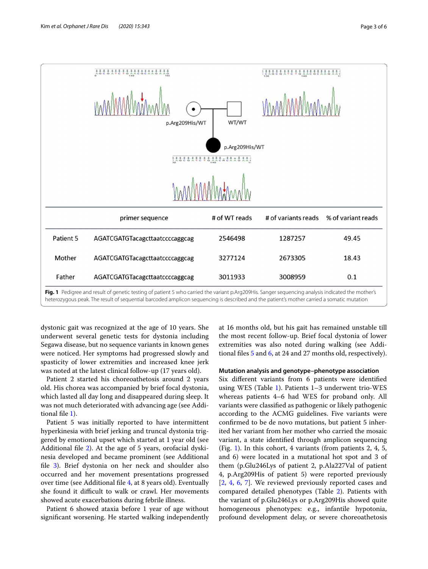

<span id="page-2-0"></span>heterozygous peak. The result of sequential barcoded amplicon sequencing is described and the patient's mother carried a somatic mutation

dystonic gait was recognized at the age of 10 years. She underwent several genetic tests for dystonia including Segawa disease, but no sequence variants in known genes were noticed. Her symptoms had progressed slowly and spasticity of lower extremities and increased knee jerk was noted at the latest clinical follow-up (17 years old).

Patient 2 started his choreoathetosis around 2 years old. His chorea was accompanied by brief focal dystonia, which lasted all day long and disappeared during sleep. It was not much deteriorated with advancing age (see Additional fle [1](#page-5-14)).

Patient 5 was initially reported to have intermittent hyperkinesia with brief jerking and truncal dystonia triggered by emotional upset which started at 1 year old (see Additional fle [2](#page-5-15)). At the age of 5 years, orofacial dyskinesia developed and became prominent (see Additional fle [3](#page-5-16)). Brief dystonia on her neck and shoulder also occurred and her movement presentations progressed over time (see Additional fle [4](#page-5-17), at 8 years old). Eventually she found it difficult to walk or crawl. Her movements showed acute exacerbations during febrile illness.

Patient 6 showed ataxia before 1 year of age without signifcant worsening. He started walking independently at 16 months old, but his gait has remained unstable till the most recent follow-up. Brief focal dystonia of lower extremities was also noted during walking (see Additional fles [5](#page-5-18) and [6](#page-5-18), at 24 and 27 months old, respectively).

#### **Mutation analysis and genotype–phenotype association**

Six diferent variants from 6 patients were identifed using WES (Table [1\)](#page-3-0). Patients 1–3 underwent trio-WES whereas patients 4–6 had WES for proband only. All variants were classifed as pathogenic or likely pathogenic according to the ACMG guidelines. Five variants were confrmed to be de novo mutations, but patient 5 inherited her variant from her mother who carried the mosaic variant, a state identifed through amplicon sequencing (Fig. [1](#page-2-0)). In this cohort, 4 variants (from patients 2, 4, 5, and 6) were located in a mutational hot spot and 3 of them (p.Glu246Lys of patient 2, p.Ala227Val of patient 4, p.Arg209His of patient 5) were reported previously [[2,](#page-5-19) [4,](#page-5-2) [6,](#page-5-4) [7\]](#page-5-6). We reviewed previously reported cases and compared detailed phenotypes (Table [2](#page-4-0)). Patients with the variant of p.Glu246Lys or p.Arg209His showed quite homogeneous phenotypes: e.g., infantile hypotonia, profound development delay, or severe choreoathetosis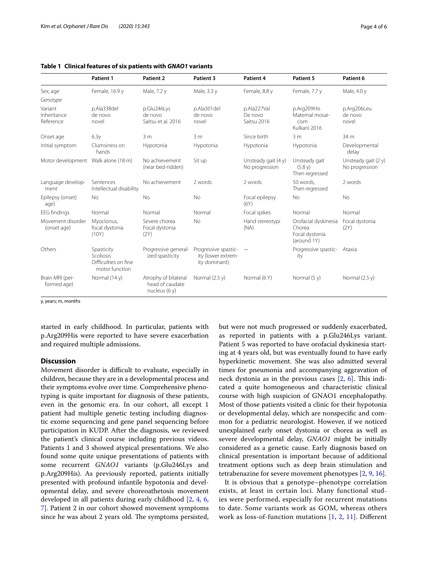|                                     | <b>Patient 1</b>                                                         | Patient 2                                                  | Patient 3                                                   | Patient 4                             | Patient 5                                                       | Patient 6                             |
|-------------------------------------|--------------------------------------------------------------------------|------------------------------------------------------------|-------------------------------------------------------------|---------------------------------------|-----------------------------------------------------------------|---------------------------------------|
| Sex, age                            | Female, 16.9 y                                                           | Male, 7.2 y                                                | Male, 3.3 y                                                 | Female, 8.8 y                         | Female, 7.7 y                                                   | Male, 4.0 y                           |
| Genotype                            |                                                                          |                                                            |                                                             |                                       |                                                                 |                                       |
| Variant<br>Inheritance<br>Reference | p.Ala338del<br>de novo<br>novel                                          | p.Glu246Lys<br>de novo<br>Saitsu et al. 2016               | p.Ala301del<br>de novo<br>novel                             | p.Ala227Val<br>De novo<br>Saitsu 2016 | p.Arg209His<br>Maternal mosai-<br>cism<br>Kulkani 2016          | p.Arg206Leu<br>de novo<br>novel       |
| Onset age                           | 6.3y                                                                     | 3m                                                         | 3 <sub>m</sub>                                              | Since birth                           | 3 <sub>m</sub>                                                  | 34 m                                  |
| Initial symptom                     | Clumsiness on<br>hands                                                   | Hypotonia                                                  | Hypotonia                                                   | Hypotonia                             | Hypotonia                                                       | Developmental<br>delay                |
| Motor development Walk alone (18 m) |                                                                          | No achievement<br>(near bed-ridden)                        | Sit up                                                      | Unsteady gait (4 y)<br>No progression | Unsteady gait<br>(5.8 y)<br>Then regressed                      | Unsteady gait (2 y)<br>No progression |
| Language develop-<br>ment           | Sentences<br>Intellectual disability                                     | No achievement                                             | 2 words                                                     | 2 words                               | 50 words.<br>Then regressed                                     | 2 words                               |
| Epilepsy (onset)<br>age)            | <b>No</b>                                                                | <b>No</b>                                                  | <b>No</b>                                                   | Focal epilepsy<br>(6Y)                | No.                                                             | <b>No</b>                             |
| <b>EEG</b> findings                 | Normal                                                                   | Normal                                                     | Normal                                                      | Focal spikes<br>Normal                |                                                                 | Normal                                |
| Movement disorder<br>(onset age)    | Myoclonus,<br>focal dystonia<br>(10Y)                                    | Severe chorea<br>Focal dystonia<br>(2Y)                    | <b>No</b>                                                   | Hand stereotypi<br>(NA)               | Orofacial dyskinesia<br>Chorea<br>Focal dystonia<br>(around 1Y) | Focal dystonia<br>(2Y)                |
| Others                              | Spasticity<br><b>Scoliosis</b><br>Difficulties on fine<br>motor function | Progressive general-<br>ized spasticity                    | Progressive spastic-<br>ity (lower extrem-<br>ity dominant) |                                       | Progressive spastic-<br>ity                                     | Ataxia                                |
| Brain MRI (per-<br>formed age)      | Normal (14 y)                                                            | Atrophy of bilateral<br>head of caudate<br>nucleus $(6 y)$ | Normal $(2.5 y)$                                            | Normal (6Y)                           | Normal $(5 y)$                                                  | Normal $(2.5 y)$                      |

# <span id="page-3-0"></span>**Table 1 Clinical features of six patients with** *GNAO1* **variants**

y, years; m, months

started in early childhood. In particular, patients with p.Arg209His were reported to have severe exacerbation and required multiple admissions.

# **Discussion**

Movement disorder is difficult to evaluate, especially in children, because they are in a developmental process and their symptoms evolve over time. Comprehensive phenotyping is quite important for diagnosis of these patients, even in the genomic era. In our cohort, all except 1 patient had multiple genetic testing including diagnostic exome sequencing and gene panel sequencing before participation in KUDP. After the diagnosis, we reviewed the patient's clinical course including previous videos. Patients 1 and 3 showed atypical presentations. We also found some quite unique presentations of patients with some recurrent *GNAO1* variants (p.Glu246Lys and p.Arg209His). As previously reported, patients initially presented with profound infantile hypotonia and developmental delay, and severe choreoathetosis movement developed in all patients during early childhood [[2,](#page-5-19) [4,](#page-5-2) [6](#page-5-4), [7\]](#page-5-6). Patient 2 in our cohort showed movement symptoms since he was about 2 years old. The symptoms persisted, but were not much progressed or suddenly exacerbated, as reported in patients with a p.Glu246Lys variant. Patient 5 was reported to have orofacial dyskinesia starting at 4 years old, but was eventually found to have early hyperkinetic movement. She was also admitted several times for pneumonia and accompanying aggravation of neck dystonia as in the previous cases  $[2, 6]$  $[2, 6]$  $[2, 6]$ . This indicated a quite homogeneous and characteristic clinical course with high suspicion of GNAO1 encephalopathy. Most of those patients visited a clinic for their hypotonia or developmental delay, which are nonspecifc and common for a pediatric neurologist. However, if we noticed unexplained early onset dystonia or chorea as well as severe developmental delay, *GNAO1* might be initially considered as a genetic cause. Early diagnosis based on clinical presentation is important because of additional treatment options such as deep brain stimulation and tetrabenazine for severe movement phenotypes [[2,](#page-5-19) [9](#page-5-7), [16](#page-5-20)].

It is obvious that a genotype–phenotype correlation exists, at least in certain loci. Many functional studies were performed, especially for recurrent mutations to date. Some variants work as GOM, whereas others work as loss-of-function mutations [[1,](#page-5-0) [2,](#page-5-19) [11](#page-5-10)]. Diferent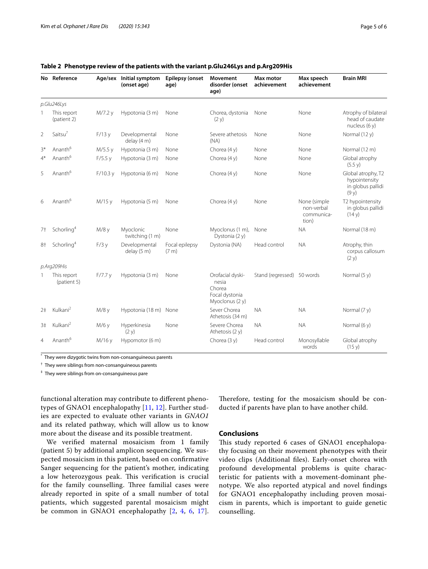|                | No Reference               |         | Age/sex Initial symptom<br>(onset age) | <b>Epilepsy (onset</b><br>age) | <b>Movement</b><br>disorder (onset<br>age)                               | <b>Max motor</b><br>achievement | Max speech<br>achievement                         | <b>Brain MRI</b>                                                 |
|----------------|----------------------------|---------|----------------------------------------|--------------------------------|--------------------------------------------------------------------------|---------------------------------|---------------------------------------------------|------------------------------------------------------------------|
|                | p.Glu246Lys                |         |                                        |                                |                                                                          |                                 |                                                   |                                                                  |
|                | This report<br>(patient 2) | M/7.2 y | Hypotonia (3 m)                        | None                           | Chorea, dystonia<br>(2 y)                                                | None                            | None                                              | Atrophy of bilateral<br>head of caudate<br>nucleus $(6 y)$       |
| $\overline{2}$ | Saitsu <sup>7</sup>        | F/13y   | Developmental<br>delay (4 m)           | None                           | Severe athetosis<br>(NA)                                                 | None                            | None                                              | Normal (12 y)                                                    |
| $3*$           | Ananth <sup>6</sup>        | M/5.5 y | Hypotonia (3 m)                        | None                           | Chorea (4 y)                                                             | None                            | None                                              | Normal (12 m)                                                    |
| $4*$           | Ananth <sup>6</sup>        | F/5.5y  | Hypotonia (3 m)                        | None                           | Chorea $(4 y)$                                                           | None                            | None                                              | Global atrophy<br>(5.5 y)                                        |
| 5              | Ananth <sup>6</sup>        | F/10.3y | Hypotonia (6 m)                        | None                           | Chorea (4 y)                                                             | None                            | None                                              | Global atrophy, T2<br>hypointensity<br>in globus pallidi<br>(9y) |
| 6              | Ananth <sup>6</sup>        | M/15 y  | Hypotonia (5 m)                        | None                           | Chorea $(4 y)$                                                           | None                            | None (simple<br>non-verbal<br>communica-<br>tion) | T2 hypointensity<br>in globus pallidi<br>(14 y)                  |
| 7†             | Schorling <sup>4</sup>     | M/8 y   | Myoclonic<br>twitching (1 m)           | None                           | Myoclonus (1 m),<br>Dystonia (2 y)                                       | None                            | <b>NA</b>                                         | Normal (18 m)                                                    |
| 8†             | Schorling <sup>4</sup>     | F/3y    | Developmental<br>delay (5 m)           | Focal epilepsy<br>(7 m)        | Dystonia (NA)                                                            | Head control                    | <b>NA</b>                                         | Atrophy, thin<br>corpus callosum<br>(2 y)                        |
|                | p.Arg209His                |         |                                        |                                |                                                                          |                                 |                                                   |                                                                  |
|                | This report<br>(patient 5) | F/7.7v  | Hypotonia (3 m)                        | None                           | Orofacial dyski-<br>nesia<br>Chorea<br>Focal dystonia<br>Myoclonus (2 y) | Stand (regressed) 50 words      |                                                   | Normal (5 y)                                                     |
| 2 <sup>‡</sup> | Kulkani <sup>2</sup>       | M/8 y   | Hypotonia (18 m) None                  |                                | Sever Chorea<br>Athetosis (34 m)                                         | <b>NA</b>                       | <b>NA</b>                                         | Normal (7 y)                                                     |
| 3 <sup>‡</sup> | Kulkani <sup>2</sup>       | M/6 y   | Hyperkinesia<br>(2 y)                  | None                           | Severe Chorea<br>Athetosis (2 y)                                         | <b>NA</b>                       | <b>NA</b>                                         | Normal (6 y)                                                     |
| $\overline{4}$ | Ananth <sup>6</sup>        | M/16 y  | Hypomotor (6 m)                        |                                | Chorea (3 y)                                                             | Head control                    | Monosyllable<br>words                             | Global atrophy<br>(15 y)                                         |

# <span id="page-4-0"></span>**Table 2 Phenotype review of the patients with the variant p.Glu246Lys and p.Arg209His**

\* They were dizygotic twins from non-consanguineous parents

† They were siblings from non-consanguineous parents

‡ They were siblings from on-consanguineous pare

functional alteration may contribute to diferent phenotypes of GNAO1 encephalopathy [\[11,](#page-5-10) [12](#page-5-9)]. Further studies are expected to evaluate other variants in *GNAO1* and its related pathway, which will allow us to know more about the disease and its possible treatment.

We verifed maternal mosaicism from 1 family (patient 5) by additional amplicon sequencing. We suspected mosaicism in this patient, based on confrmative Sanger sequencing for the patient's mother, indicating a low heterozygous peak. This verification is crucial for the family counselling. Three familial cases were already reported in spite of a small number of total patients, which suggested parental mosaicism might be common in GNAO1 encephalopathy [\[2](#page-5-19), [4](#page-5-2), [6](#page-5-4), [17\]](#page-5-21). Therefore, testing for the mosaicism should be conducted if parents have plan to have another child.

## **Conclusions**

This study reported 6 cases of GNAO1 encephalopathy focusing on their movement phenotypes with their video clips (Additional fles). Early-onset chorea with profound developmental problems is quite characteristic for patients with a movement-dominant phenotype. We also reported atypical and novel fndings for GNAO1 encephalopathy including proven mosaicism in parents, which is important to guide genetic counselling.